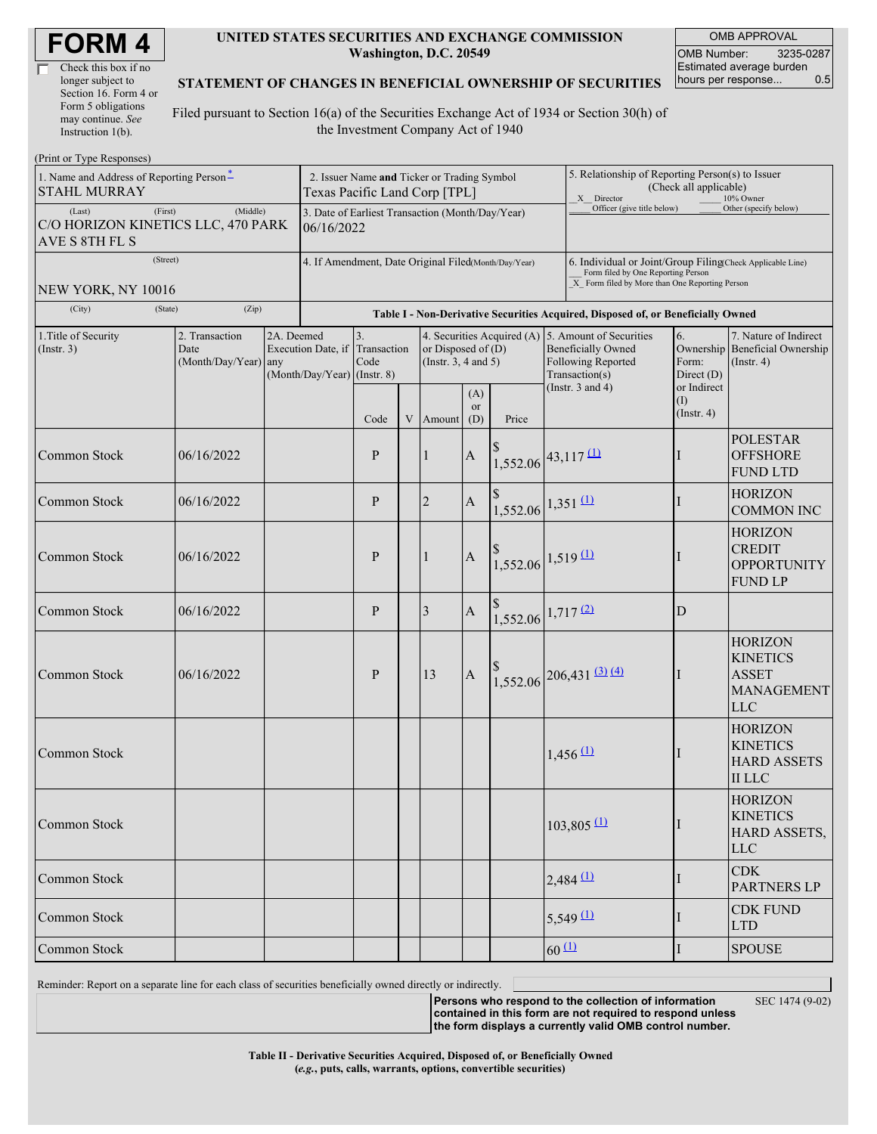| <b>FORM4</b> |  |
|--------------|--|
|--------------|--|

| Check this box if no  |
|-----------------------|
| longer subject to     |
| Section 16. Form 4 or |
| Form 5 obligations    |
| may continue. See     |
| Instruction $1(b)$ .  |

#### **UNITED STATES SECURITIES AND EXCHANGE COMMISSION Washington, D.C. 20549**

OMB APPROVAL OMB Number: 3235-0287 Estimated average burden hours per response... 0.5

#### **STATEMENT OF CHANGES IN BENEFICIAL OWNERSHIP OF SECURITIES**

Filed pursuant to Section 16(a) of the Securities Exchange Act of 1934 or Section 30(h) of the Investment Company Act of 1940

| (Print or Type Responses)                                                 |                                                |                                                                                              |                                             |                                                                               |  |                                                                           |                         |                                                                                                                                                    |                                                                                                                       |                                                                                  |                                          |                                                                                      |
|---------------------------------------------------------------------------|------------------------------------------------|----------------------------------------------------------------------------------------------|---------------------------------------------|-------------------------------------------------------------------------------|--|---------------------------------------------------------------------------|-------------------------|----------------------------------------------------------------------------------------------------------------------------------------------------|-----------------------------------------------------------------------------------------------------------------------|----------------------------------------------------------------------------------|------------------------------------------|--------------------------------------------------------------------------------------|
| 1. Name and Address of Reporting Person-<br><b>STAHL MURRAY</b>           |                                                | Texas Pacific Land Corp [TPL]                                                                | 2. Issuer Name and Ticker or Trading Symbol |                                                                               |  |                                                                           |                         |                                                                                                                                                    | 5. Relationship of Reporting Person(s) to Issuer<br>(Check all applicable)<br>X Director<br>10% Owner                 |                                                                                  |                                          |                                                                                      |
| (First)<br>(Last)<br>C/O HORIZON KINETICS LLC, 470 PARK<br>AVE S 8TH FL S | (Middle)                                       | Officer (give title below)<br>3. Date of Earliest Transaction (Month/Day/Year)<br>06/16/2022 |                                             |                                                                               |  |                                                                           |                         |                                                                                                                                                    |                                                                                                                       |                                                                                  | Other (specify below)                    |                                                                                      |
| (Street)<br>NEW YORK, NY 10016                                            |                                                | 4. If Amendment, Date Original Filed(Month/Day/Year)                                         |                                             |                                                                               |  |                                                                           |                         | 6. Individual or Joint/Group Filing(Check Applicable Line)<br>Form filed by One Reporting Person<br>X Form filed by More than One Reporting Person |                                                                                                                       |                                                                                  |                                          |                                                                                      |
| (City)<br>(State)                                                         | (Zip)                                          |                                                                                              |                                             |                                                                               |  |                                                                           |                         |                                                                                                                                                    |                                                                                                                       | Table I - Non-Derivative Securities Acquired, Disposed of, or Beneficially Owned |                                          |                                                                                      |
| 1. Title of Security<br>$($ Instr. 3 $)$                                  | 2. Transaction<br>Date<br>(Month/Day/Year) any | 2A. Deemed                                                                                   |                                             | 3.<br>Execution Date, if Transaction<br>Code<br>$(Month/Day/Year)$ (Instr. 8) |  | 4. Securities Acquired (A)<br>or Disposed of $(D)$<br>(Instr. 3, 4 and 5) |                         |                                                                                                                                                    | 5. Amount of Securities<br><b>Beneficially Owned</b><br>Following Reported<br>Transaction(s)<br>(Instr. $3$ and $4$ ) |                                                                                  | 6.<br>Form:<br>Direct (D)<br>or Indirect | 7. Nature of Indirect<br>Ownership Beneficial Ownership<br>$($ Instr. 4 $)$          |
|                                                                           |                                                |                                                                                              |                                             | Code                                                                          |  | V Amount                                                                  | (A)<br><b>or</b><br>(D) | Price                                                                                                                                              |                                                                                                                       |                                                                                  | (I)<br>$($ Instr. 4 $)$                  |                                                                                      |
| Common Stock                                                              | 06/16/2022                                     |                                                                                              |                                             | P                                                                             |  | $\mathbf{1}$                                                              | $\boldsymbol{\rm{A}}$   | $1,552.06$ <sup>43,117(1)</sup>                                                                                                                    |                                                                                                                       |                                                                                  | $\perp$                                  | <b>POLESTAR</b><br><b>OFFSHORE</b><br><b>FUND LTD</b>                                |
| Common Stock                                                              | 06/16/2022                                     |                                                                                              |                                             | P                                                                             |  | $\overline{2}$                                                            | $\boldsymbol{A}$        | $1,552.06$ $1,351$ $(1)$                                                                                                                           |                                                                                                                       |                                                                                  | $\perp$                                  | <b>HORIZON</b><br><b>COMMON INC</b>                                                  |
| Common Stock                                                              | 06/16/2022                                     |                                                                                              |                                             | P                                                                             |  | 1                                                                         | $\boldsymbol{\rm{A}}$   | $1,552.06$ 1,519 (1)                                                                                                                               |                                                                                                                       |                                                                                  |                                          | <b>HORIZON</b><br><b>CREDIT</b><br><b>OPPORTUNITY</b><br><b>FUND LP</b>              |
| Common Stock                                                              | 06/16/2022                                     |                                                                                              |                                             | $\mathbf{P}$                                                                  |  | 3                                                                         | $\boldsymbol{A}$        | $1,552.06$ 1,717 (2)                                                                                                                               |                                                                                                                       |                                                                                  | D                                        |                                                                                      |
| Common Stock                                                              | 06/16/2022                                     |                                                                                              |                                             | P                                                                             |  | 13                                                                        | $\mathbf A$             |                                                                                                                                                    |                                                                                                                       | $1,552.06$ 206,431 (3) (4)                                                       | Ш                                        | <b>HORIZON</b><br><b>KINETICS</b><br><b>ASSET</b><br><b>MANAGEMENT</b><br><b>LLC</b> |
| Common Stock                                                              |                                                |                                                                                              |                                             |                                                                               |  |                                                                           |                         |                                                                                                                                                    |                                                                                                                       | $1,456 \, 11$                                                                    |                                          | <b>HORIZON</b><br><b>KINETICS</b><br><b>HARD ASSETS</b><br><b>II</b> LLC             |
| Common Stock                                                              |                                                |                                                                                              |                                             |                                                                               |  |                                                                           |                         |                                                                                                                                                    |                                                                                                                       | $103,805$ <sup>(1)</sup>                                                         |                                          | <b>HORIZON</b><br><b>KINETICS</b><br>HARD ASSETS,<br><b>LLC</b>                      |
| Common Stock                                                              |                                                |                                                                                              |                                             |                                                                               |  |                                                                           |                         |                                                                                                                                                    |                                                                                                                       | $2,484$ <sup>(1)</sup>                                                           | I                                        | <b>CDK</b><br><b>PARTNERS LP</b>                                                     |
| Common Stock                                                              |                                                |                                                                                              |                                             |                                                                               |  |                                                                           |                         |                                                                                                                                                    |                                                                                                                       | $5,549 \, 11$                                                                    | $\perp$                                  | <b>CDK FUND</b><br><b>LTD</b>                                                        |
| Common Stock                                                              |                                                |                                                                                              |                                             |                                                                               |  |                                                                           |                         |                                                                                                                                                    | $60 \Omega$                                                                                                           |                                                                                  | I                                        | <b>SPOUSE</b>                                                                        |

Reminder: Report on a separate line for each class of securities beneficially owned directly or indirectly.

**Persons who respond to the collection of information contained in this form are not required to respond unless** SEC 1474 (9-02)

**the form displays a currently valid OMB control number.**

**Table II - Derivative Securities Acquired, Disposed of, or Beneficially Owned (***e.g.***, puts, calls, warrants, options, convertible securities)**